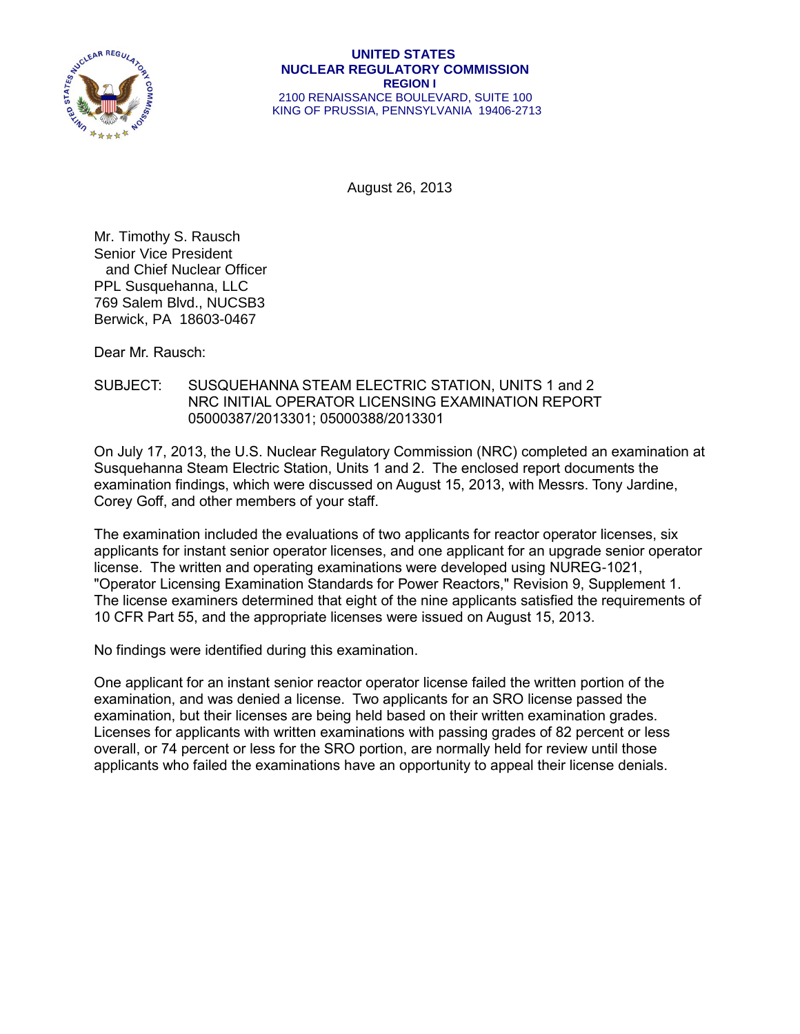

#### **UNITED STATES NUCLEAR REGULATORY COMMISSION REGION I** 2100 RENAISSANCE BOULEVARD, SUITE 100 KING OF PRUSSIA, PENNSYLVANIA 19406-2713

August 26, 2013

Mr. Timothy S. Rausch Senior Vice President and Chief Nuclear Officer PPL Susquehanna, LLC 769 Salem Blvd., NUCSB3 Berwick, PA 18603-0467

Dear Mr. Rausch:

#### SUBJECT: SUSQUEHANNA STEAM ELECTRIC STATION, UNITS 1 and 2 NRC INITIAL OPERATOR LICENSING EXAMINATION REPORT 05000387/2013301; 05000388/2013301

On July 17, 2013, the U.S. Nuclear Regulatory Commission (NRC) completed an examination at Susquehanna Steam Electric Station, Units 1 and 2. The enclosed report documents the examination findings, which were discussed on August 15, 2013, with Messrs. Tony Jardine, Corey Goff, and other members of your staff.

The examination included the evaluations of two applicants for reactor operator licenses, six applicants for instant senior operator licenses, and one applicant for an upgrade senior operator license. The written and operating examinations were developed using NUREG-1021, "Operator Licensing Examination Standards for Power Reactors," Revision 9, Supplement 1. The license examiners determined that eight of the nine applicants satisfied the requirements of 10 CFR Part 55, and the appropriate licenses were issued on August 15, 2013.

No findings were identified during this examination.

One applicant for an instant senior reactor operator license failed the written portion of the examination, and was denied a license. Two applicants for an SRO license passed the examination, but their licenses are being held based on their written examination grades. Licenses for applicants with written examinations with passing grades of 82 percent or less overall, or 74 percent or less for the SRO portion, are normally held for review until those applicants who failed the examinations have an opportunity to appeal their license denials.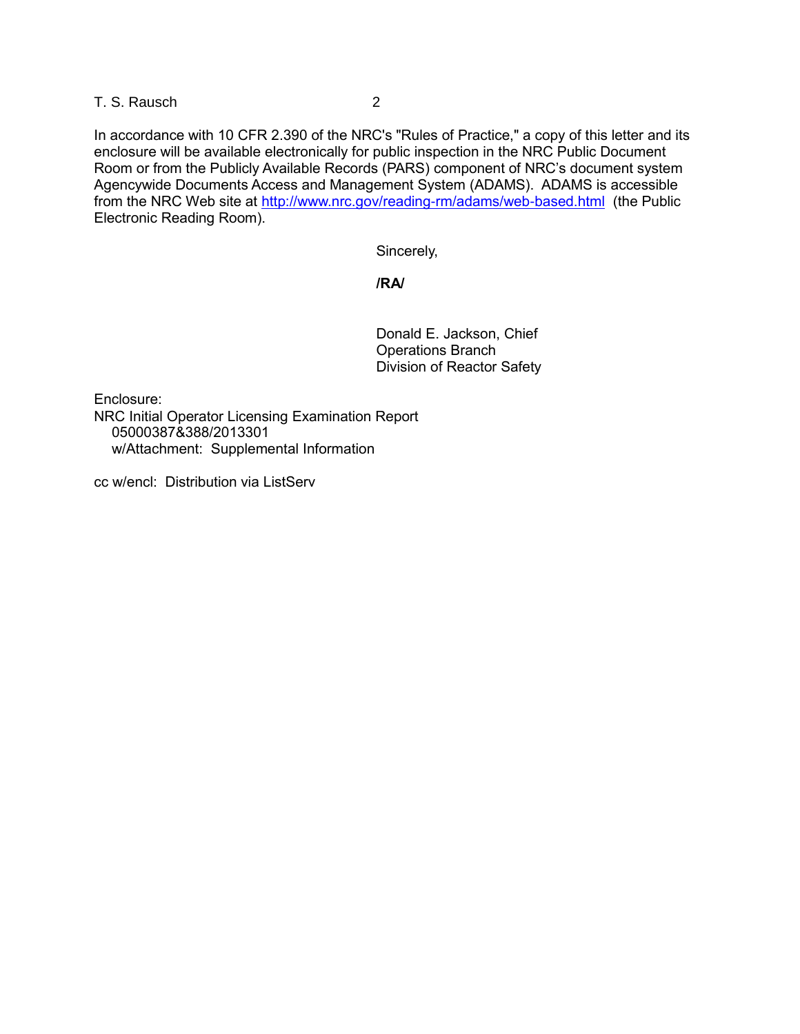#### T. S. Rausch 2

In accordance with 10 CFR 2.390 of the NRC's "Rules of Practice," a copy of this letter and its enclosure will be available electronically for public inspection in the NRC Public Document Room or from the Publicly Available Records (PARS) component of NRC's document system Agencywide Documents Access and Management System (ADAMS). ADAMS is accessible from the NRC Web site at<http://www.nrc.gov/reading-rm/adams/web-based.html> (the Public Electronic Reading Room).

Sincerely,

#### **/RA/**

Donald E. Jackson, Chief Operations Branch Division of Reactor Safety

Enclosure: NRC Initial Operator Licensing Examination Report 05000387&388/2013301 w/Attachment: Supplemental Information

cc w/encl: Distribution via ListServ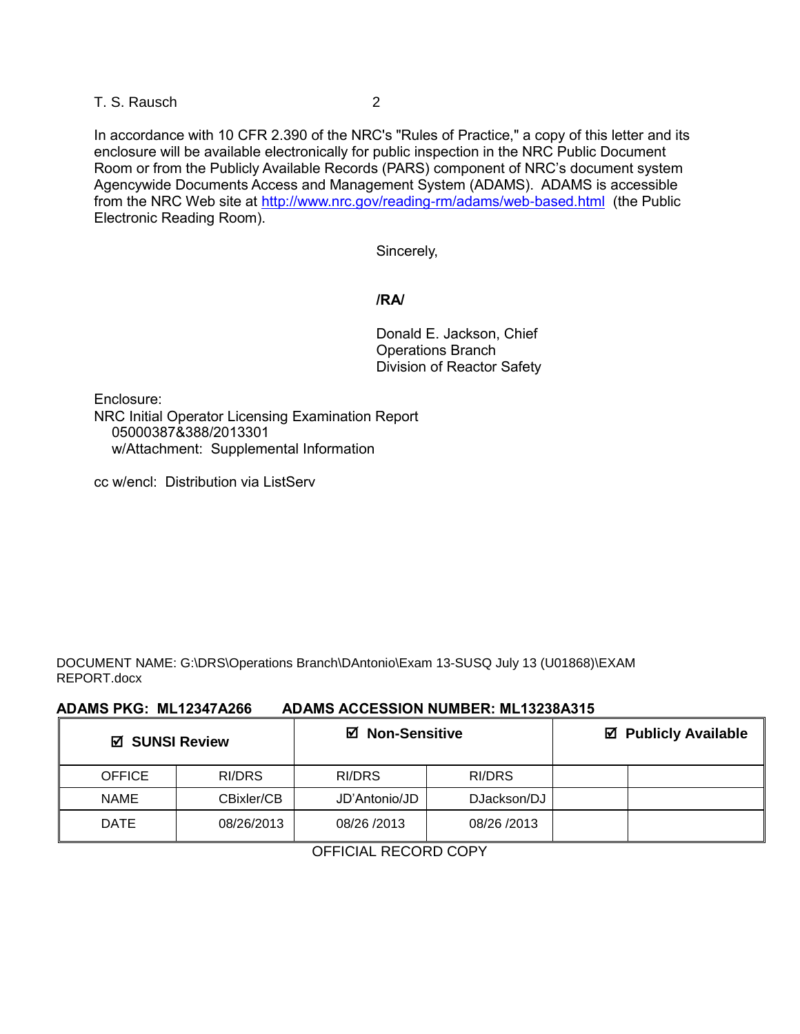T. S. Rausch 2

In accordance with 10 CFR 2.390 of the NRC's "Rules of Practice," a copy of this letter and its enclosure will be available electronically for public inspection in the NRC Public Document Room or from the Publicly Available Records (PARS) component of NRC's document system Agencywide Documents Access and Management System (ADAMS). ADAMS is accessible from the NRC Web site at<http://www.nrc.gov/reading-rm/adams/web-based.html>(the Public Electronic Reading Room).

Sincerely,

#### **/RA/**

Donald E. Jackson, Chief Operations Branch Division of Reactor Safety

Enclosure: NRC Initial Operator Licensing Examination Report 05000387&388/2013301 w/Attachment: Supplemental Information

cc w/encl: Distribution via ListServ

DOCUMENT NAME: G:\DRS\Operations Branch\DAntonio\Exam 13-SUSQ July 13 (U01868)\EXAM REPORT.docx

#### **ADAMS PKG: ML12347A266 ADAMS ACCESSION NUMBER: ML13238A315**

| ☑ SUNSI Review |            | <b>Ø</b> Non-Sensitive |             | ☑ Publicly Available |  |
|----------------|------------|------------------------|-------------|----------------------|--|
| <b>OFFICE</b>  | RI/DRS     | RI/DRS                 | RI/DRS      |                      |  |
| <b>NAME</b>    | CBixler/CB | JD'Antonio/JD          | DJackson/DJ |                      |  |
| <b>DATE</b>    | 08/26/2013 | 08/26 /2013            | 08/26 /2013 |                      |  |

OFFICIAL RECORD COPY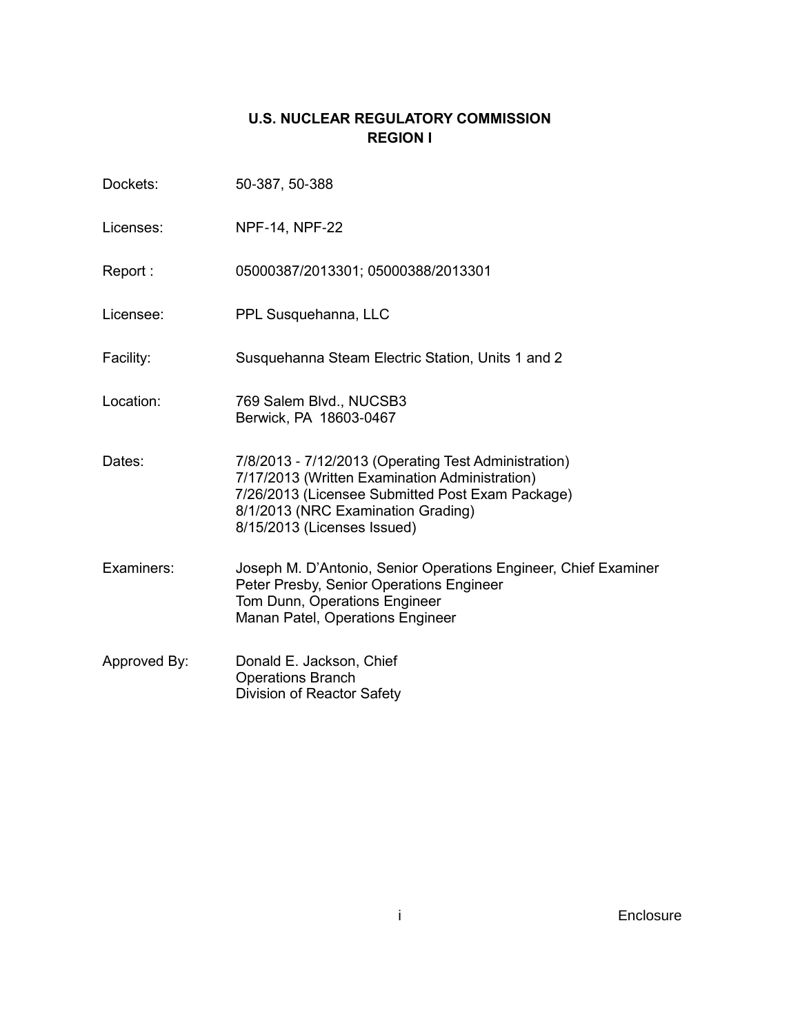## **U.S. NUCLEAR REGULATORY COMMISSION REGION I**

| Dockets:     | 50-387, 50-388                                                                                                                                                                                                                  |
|--------------|---------------------------------------------------------------------------------------------------------------------------------------------------------------------------------------------------------------------------------|
| Licenses:    | NPF-14, NPF-22                                                                                                                                                                                                                  |
| Report:      | 05000387/2013301; 05000388/2013301                                                                                                                                                                                              |
| Licensee:    | PPL Susquehanna, LLC                                                                                                                                                                                                            |
| Facility:    | Susquehanna Steam Electric Station, Units 1 and 2                                                                                                                                                                               |
| Location:    | 769 Salem Blvd., NUCSB3<br>Berwick, PA 18603-0467                                                                                                                                                                               |
| Dates:       | 7/8/2013 - 7/12/2013 (Operating Test Administration)<br>7/17/2013 (Written Examination Administration)<br>7/26/2013 (Licensee Submitted Post Exam Package)<br>8/1/2013 (NRC Examination Grading)<br>8/15/2013 (Licenses Issued) |
| Examiners:   | Joseph M. D'Antonio, Senior Operations Engineer, Chief Examiner<br>Peter Presby, Senior Operations Engineer<br>Tom Dunn, Operations Engineer<br>Manan Patel, Operations Engineer                                                |
| Approved By: | Donald E. Jackson, Chief<br><b>Operations Branch</b><br>Division of Reactor Safety                                                                                                                                              |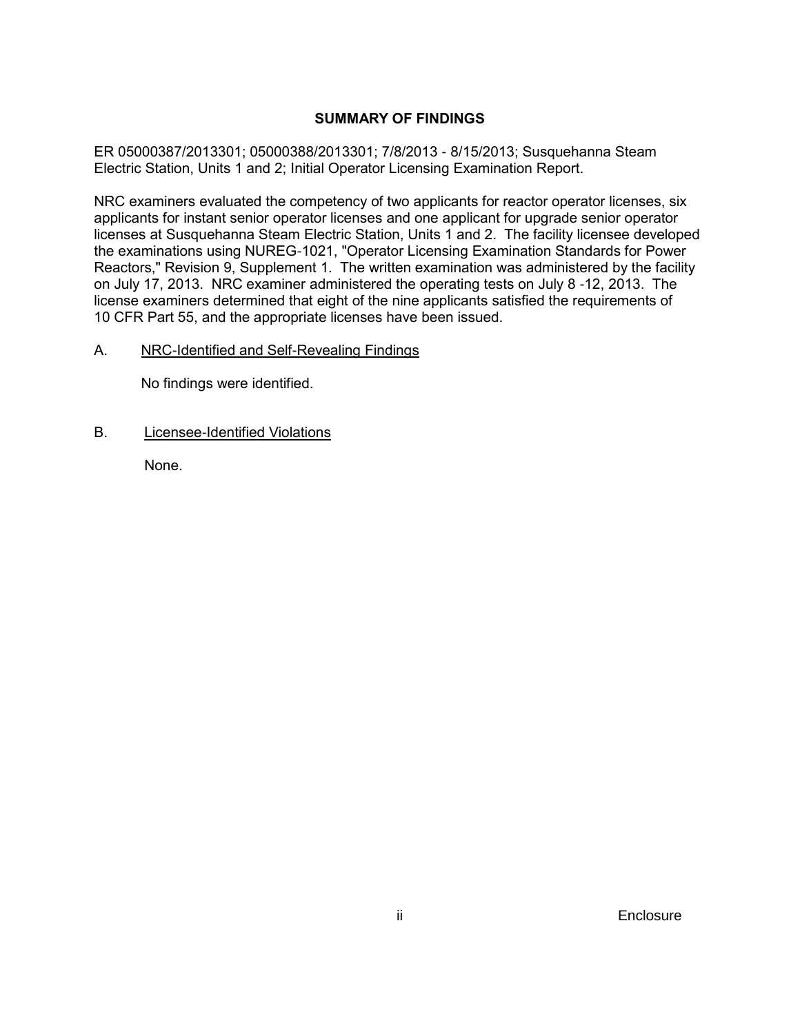#### **SUMMARY OF FINDINGS**

ER 05000387/2013301; 05000388/2013301; 7/8/2013 - 8/15/2013; Susquehanna Steam Electric Station, Units 1 and 2; Initial Operator Licensing Examination Report.

NRC examiners evaluated the competency of two applicants for reactor operator licenses, six applicants for instant senior operator licenses and one applicant for upgrade senior operator licenses at Susquehanna Steam Electric Station, Units 1 and 2. The facility licensee developed the examinations using NUREG-1021, "Operator Licensing Examination Standards for Power Reactors," Revision 9, Supplement 1. The written examination was administered by the facility on July 17, 2013. NRC examiner administered the operating tests on July 8 -12, 2013. The license examiners determined that eight of the nine applicants satisfied the requirements of 10 CFR Part 55, and the appropriate licenses have been issued.

#### A. NRC-Identified and Self-Revealing Findings

No findings were identified.

B. Licensee-Identified Violations

None.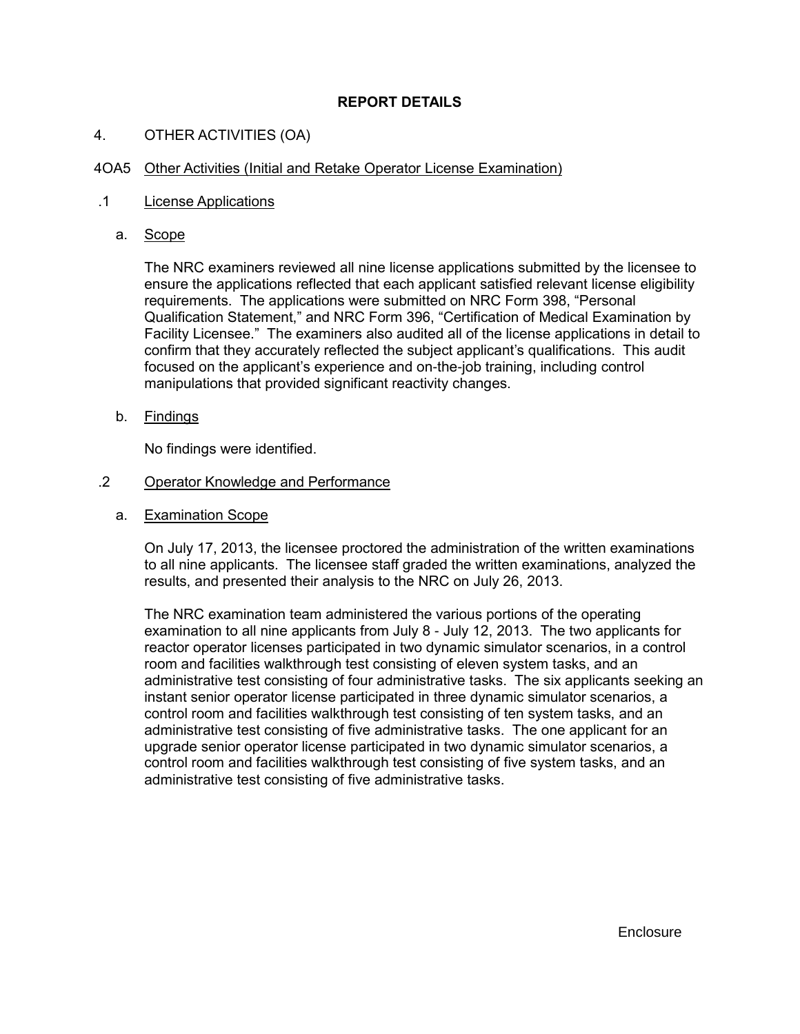#### **REPORT DETAILS**

#### 4. OTHER ACTIVITIES (OA)

#### 4OA5 Other Activities (Initial and Retake Operator License Examination)

#### .1 License Applications

a. Scope

The NRC examiners reviewed all nine license applications submitted by the licensee to ensure the applications reflected that each applicant satisfied relevant license eligibility requirements. The applications were submitted on NRC Form 398, "Personal Qualification Statement," and NRC Form 396, "Certification of Medical Examination by Facility Licensee." The examiners also audited all of the license applications in detail to confirm that they accurately reflected the subject applicant's qualifications. This audit focused on the applicant's experience and on-the-job training, including control manipulations that provided significant reactivity changes.

b. Findings

No findings were identified.

#### .2 Operator Knowledge and Performance

a. Examination Scope

On July 17, 2013, the licensee proctored the administration of the written examinations to all nine applicants. The licensee staff graded the written examinations, analyzed the results, and presented their analysis to the NRC on July 26, 2013.

The NRC examination team administered the various portions of the operating examination to all nine applicants from July 8 - July 12, 2013. The two applicants for reactor operator licenses participated in two dynamic simulator scenarios, in a control room and facilities walkthrough test consisting of eleven system tasks, and an administrative test consisting of four administrative tasks. The six applicants seeking an instant senior operator license participated in three dynamic simulator scenarios, a control room and facilities walkthrough test consisting of ten system tasks, and an administrative test consisting of five administrative tasks. The one applicant for an upgrade senior operator license participated in two dynamic simulator scenarios, a control room and facilities walkthrough test consisting of five system tasks, and an administrative test consisting of five administrative tasks.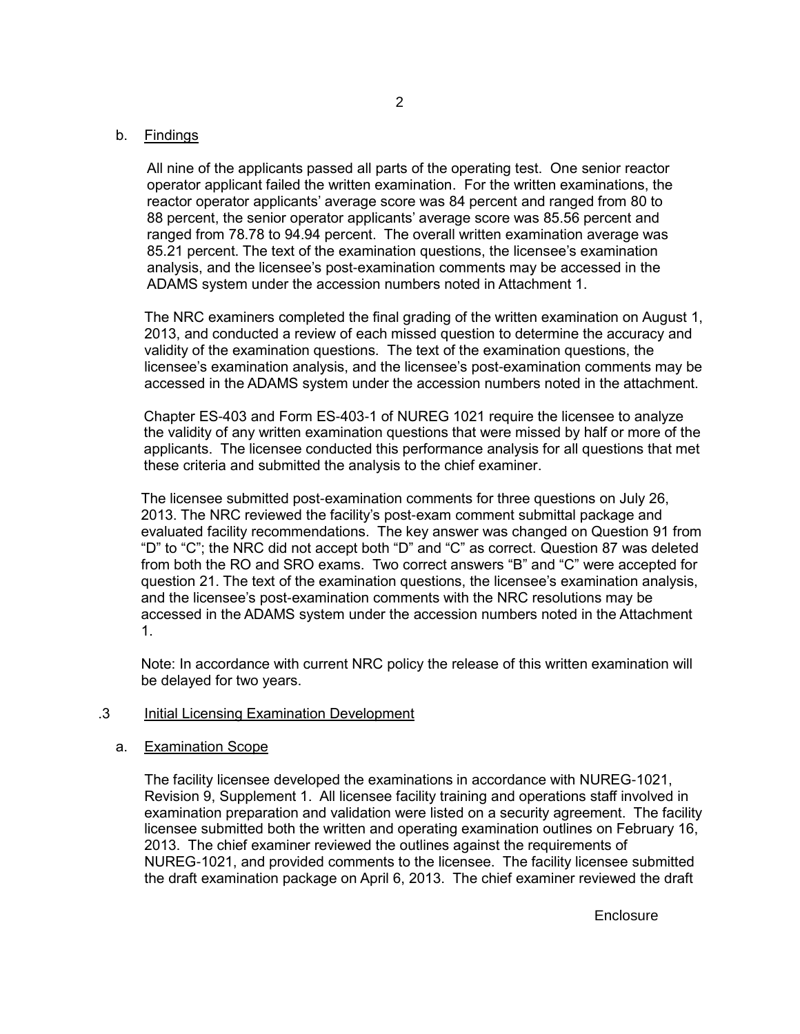#### b. Findings

All nine of the applicants passed all parts of the operating test. One senior reactor operator applicant failed the written examination. For the written examinations, the reactor operator applicants' average score was 84 percent and ranged from 80 to 88 percent, the senior operator applicants' average score was 85.56 percent and ranged from 78.78 to 94.94 percent. The overall written examination average was 85.21 percent. The text of the examination questions, the licensee's examination analysis, and the licensee's post-examination comments may be accessed in the ADAMS system under the accession numbers noted in Attachment 1.

The NRC examiners completed the final grading of the written examination on August 1, 2013, and conducted a review of each missed question to determine the accuracy and validity of the examination questions. The text of the examination questions, the licensee's examination analysis, and the licensee's post-examination comments may be accessed in the ADAMS system under the accession numbers noted in the attachment.

Chapter ES-403 and Form ES-403-1 of NUREG 1021 require the licensee to analyze the validity of any written examination questions that were missed by half or more of the applicants. The licensee conducted this performance analysis for all questions that met these criteria and submitted the analysis to the chief examiner.

The licensee submitted post-examination comments for three questions on July 26, 2013. The NRC reviewed the facility's post-exam comment submittal package and evaluated facility recommendations. The key answer was changed on Question 91 from "D" to "C"; the NRC did not accept both "D" and "C" as correct. Question 87 was deleted from both the RO and SRO exams. Two correct answers "B" and "C" were accepted for question 21. The text of the examination questions, the licensee's examination analysis, and the licensee's post-examination comments with the NRC resolutions may be accessed in the ADAMS system under the accession numbers noted in the Attachment 1.

Note: In accordance with current NRC policy the release of this written examination will be delayed for two years.

#### .3 Initial Licensing Examination Development

#### a. Examination Scope

The facility licensee developed the examinations in accordance with NUREG-1021, Revision 9, Supplement 1. All licensee facility training and operations staff involved in examination preparation and validation were listed on a security agreement. The facility licensee submitted both the written and operating examination outlines on February 16, 2013. The chief examiner reviewed the outlines against the requirements of NUREG-1021, and provided comments to the licensee. The facility licensee submitted the draft examination package on April 6, 2013. The chief examiner reviewed the draft

**Enclosure**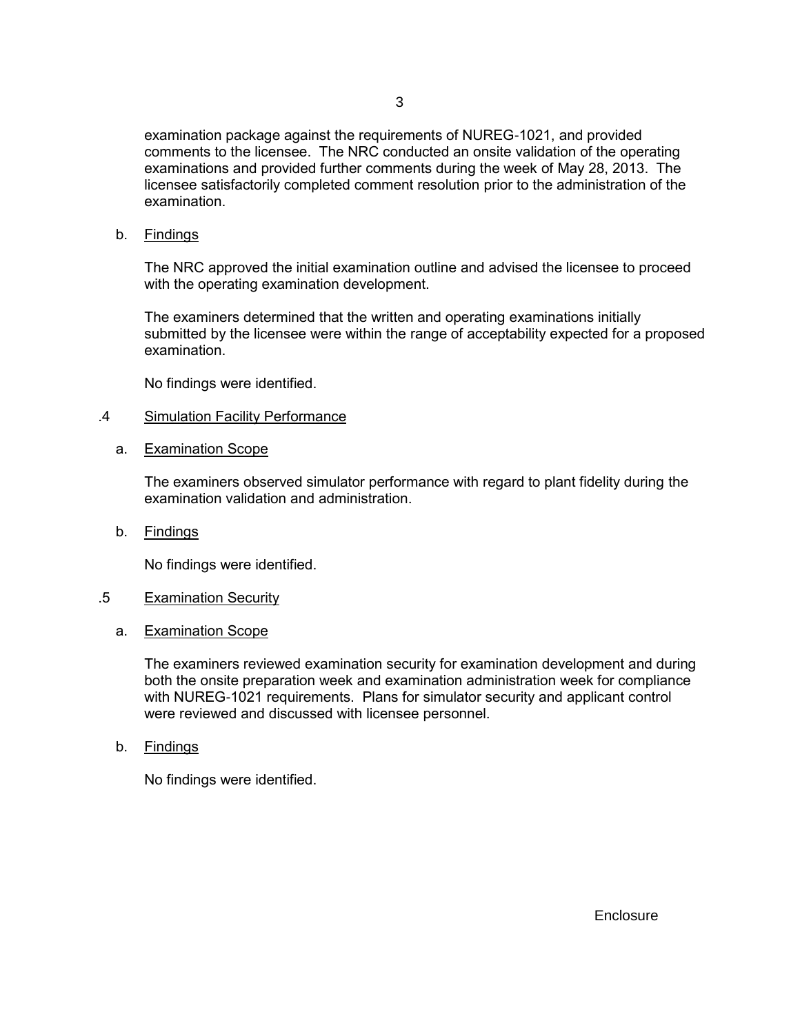examination package against the requirements of NUREG-1021, and provided comments to the licensee. The NRC conducted an onsite validation of the operating examinations and provided further comments during the week of May 28, 2013. The licensee satisfactorily completed comment resolution prior to the administration of the examination.

b. Findings

The NRC approved the initial examination outline and advised the licensee to proceed with the operating examination development.

The examiners determined that the written and operating examinations initially submitted by the licensee were within the range of acceptability expected for a proposed examination.

No findings were identified.

#### .4 Simulation Facility Performance

a. Examination Scope

The examiners observed simulator performance with regard to plant fidelity during the examination validation and administration.

b. Findings

No findings were identified.

#### .5 Examination Security

a. Examination Scope

The examiners reviewed examination security for examination development and during both the onsite preparation week and examination administration week for compliance with NUREG-1021 requirements. Plans for simulator security and applicant control were reviewed and discussed with licensee personnel.

b. Findings

No findings were identified.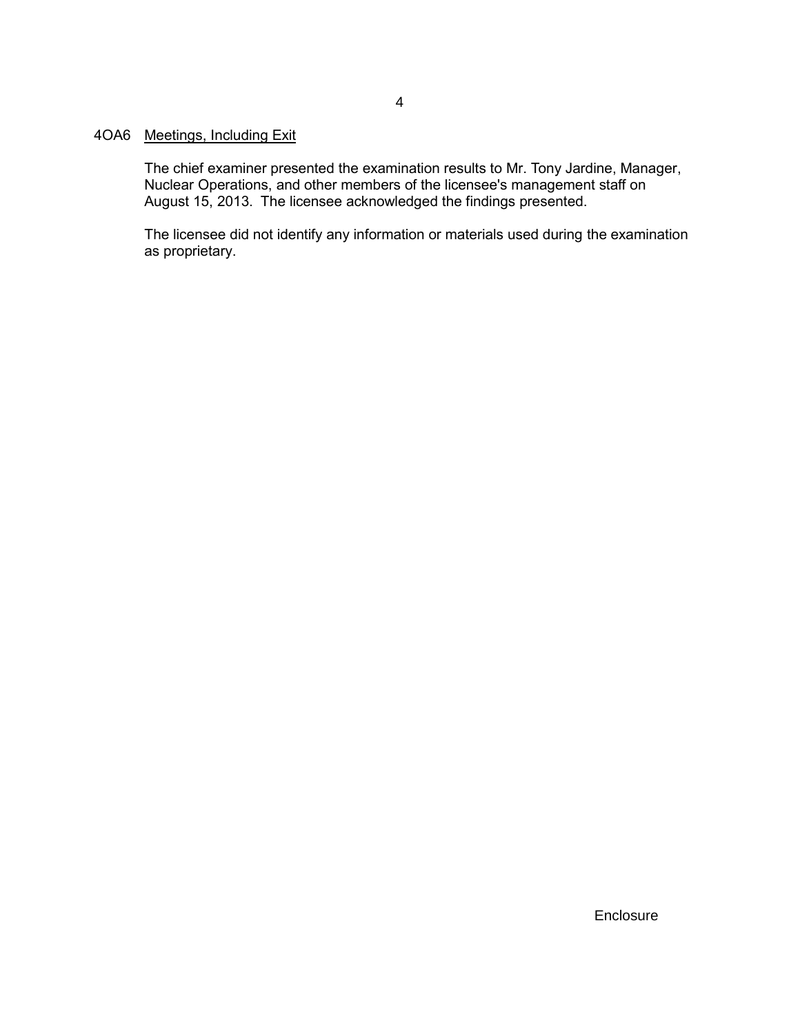#### 4OA6 Meetings, Including Exit

The chief examiner presented the examination results to Mr. Tony Jardine, Manager, Nuclear Operations, and other members of the licensee's management staff on August 15, 2013. The licensee acknowledged the findings presented.

The licensee did not identify any information or materials used during the examination as proprietary.